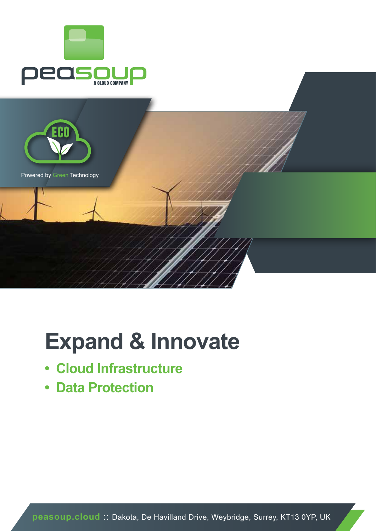



# **Expand & Innovate**

- **• Cloud Infrastructure**
- **• Data Protection**

**peasoup.cloud** :: Dakota, De Havilland Drive, Weybridge, Surrey, KT13 0YP, UK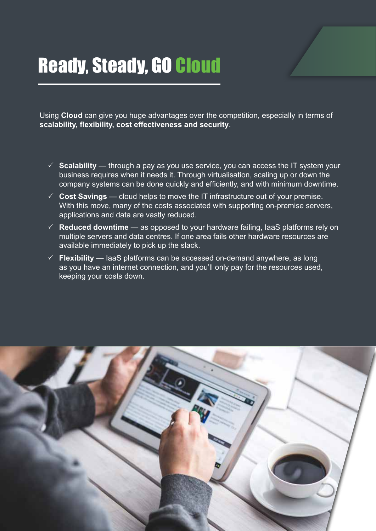## Ready, Steady, GO Cloud

Using **Cloud** can give you huge advantages over the competition, especially in terms of **scalability, flexibility, cost effectiveness and security**.

- $\checkmark$  Scalability through a pay as you use service, you can access the IT system your business requires when it needs it. Through virtualisation, scaling up or down the company systems can be done quickly and efficiently, and with minimum downtime.
- $\checkmark$  Cost Savings cloud helps to move the IT infrastructure out of your premise. With this move, many of the costs associated with supporting on-premise servers, applications and data are vastly reduced.
- $\checkmark$  **Reduced downtime** as opposed to your hardware failing, IaaS platforms rely on multiple servers and data centres. If one area fails other hardware resources are available immediately to pick up the slack.
- $\checkmark$  Flexibility IaaS platforms can be accessed on-demand anywhere, as long as you have an internet connection, and you'll only pay for the resources used, keeping your costs down.

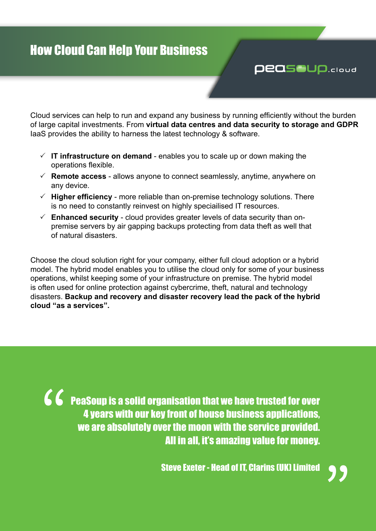### How Cloud Can Help Your Business

Cloud services can help to run and expand any business by running efficiently without the burden of large capital investments. From **virtual data centres and data security to storage and GDPR** IaaS provides the ability to harness the latest technology & software.

- $\checkmark$  IT infrastructure on demand enables you to scale up or down making the operations flexible.
- $\checkmark$  **Remote access** allows anyone to connect seamlessly, anytime, anywhere on any device.
- $\checkmark$  **Higher efficiency** more reliable than on-premise technology solutions. There is no need to constantly reinvest on highly speciailised IT resources.
- $\checkmark$  Enhanced security cloud provides greater levels of data security than onpremise servers by air gapping backups protecting from data theft as well that of natural disasters.

Choose the cloud solution right for your company, either full cloud adoption or a hybrid model. The hybrid model enables you to utilise the cloud only for some of your business operations, whilst keeping some of your infrastructure on premise. The hybrid model is often used for online protection against cybercrime, theft, natural and technology disasters. **Backup and recovery and disaster recovery lead the pack of the hybrid cloud "as a services".**

PeaSoup is a solid organisation that we have trusted for over 4 years with our key front of house business applications, we are absolutely over the moon with the service provided. All in all, it's amazing value for money. "



**PEASOUP.cloud**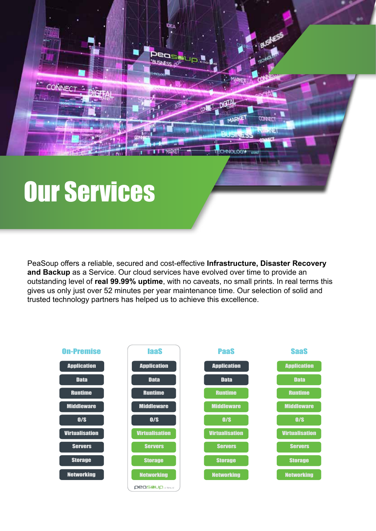# Our Services

CONNECT

PeaSoup offers a reliable, secured and cost-effective **Infrastructure, Disaster Recovery and Backup** as a Service. Our cloud services have evolved over time to provide an outstanding level of **real 99.99% uptime**, with no caveats, no small prints. In real terms this gives us only just over 52 minutes per year maintenance time. Our selection of solid and trusted technology partners has helped us to achieve this excellence.

**MARKE** 

**HNA-PR** 

спавет

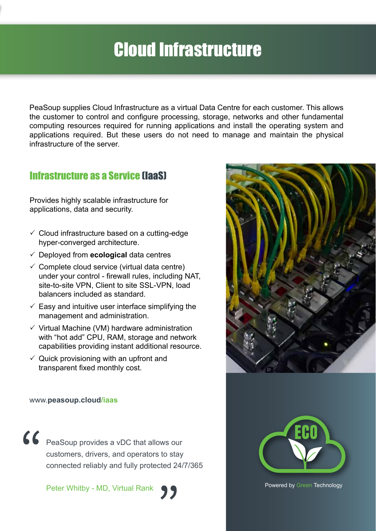## Cloud Infrastructure

PeaSoup supplies Cloud Infrastructure as a virtual Data Centre for each customer. This allows the customer to control and configure processing, storage, networks and other fundamental computing resources required for running applications and install the operating system and applications required. But these users do not need to manage and maintain the physical infrastructure of the server.

### Infrastructure as a Service (IaaS)

Provides highly scalable infrastructure for applications, data and security.

- $\checkmark$  Cloud infrastructure based on a cutting-edge hyper-converged architecture.
- 3 Deployed from **ecological** data centres
- $\checkmark$  Complete cloud service (virtual data centre) under your control - firewall rules, including NAT, site-to-site VPN, Client to site SSL-VPN, load balancers included as standard.
- $\checkmark$  Easy and intuitive user interface simplifying the management and administration.
- $\checkmark$  Virtual Machine (VM) hardware administration with "hot add" CPU, RAM, storage and network capabilities providing instant additional resource.
- $\checkmark$  Quick provisioning with an upfront and transparent fixed monthly cost.



#### www.**peasoup.cloud/iaas**

PeaSoup provides a vDC that allows our customers, drivers, and operators to stay connected reliably and fully protected 24/7/365 "

Peter Whitby - MD, Virtual Rank



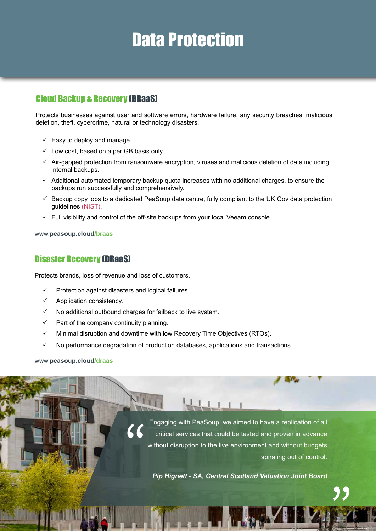### Data Protection

### Cloud Backup & Recovery (BRaaS)

Protects businesses against user and software errors, hardware failure, any security breaches, malicious deletion, theft, cybercrime, natural or technology disasters.

- $\checkmark$  Easy to deploy and manage.
- $\checkmark$  Low cost, based on a per GB basis only.
- $\checkmark$  Air-gapped protection from ransomware encryption, viruses and malicious deletion of data including internal backups.
- $\checkmark$  Additional automated temporary backup quota increases with no additional charges, to ensure the backups run successfully and comprehensively.
- $\checkmark$  Backup copy jobs to a dedicated PeaSoup data centre, fully compliant to the UK Gov data protection guidelines (NIST).
- $\checkmark$  Full visibility and control of the off-site backups from your local Veeam console.

www.**peasoup.cloud/braas**

### Disaster Recovery (DRaaS)

Protects brands, loss of revenue and loss of customers.

- Protection against disasters and logical failures.
- Application consistency.
- No additional outbound charges for failback to live system.
- Part of the company continuity planning.
- $\checkmark$  Minimal disruption and downtime with low Recovery Time Objectives (RTOs).
- No performance degradation of production databases, applications and transactions.

#### www.**peasoup.cloud/draas**

Engaging with PeaSoup, we aimed to have a replication of all critical services that could be tested and proven in advance without disruption to the live environment and without budgets spiraling out of control. "

*Pip Hignett - SA, Central Scotland Valuation Joint Board*

,<br>"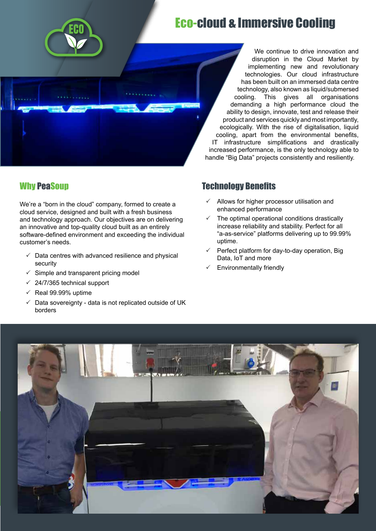

### Eco-cloud & Immersive Cooling



Why PeaSoup

We're a "born in the cloud" company, formed to create a cloud service, designed and built with a fresh business and technology approach. Our objectives are on delivering an innovative and top-quality cloud built as an entirely software-defined environment and exceeding the individual customer's needs.

- $\checkmark$  Data centres with advanced resilience and physical security
- $\checkmark$  Simple and transparent pricing model
- $\checkmark$  24/7/365 technical support
- $\checkmark$  Real 99.99% uptime
- $\checkmark$  Data sovereignty data is not replicated outside of UK borders

#### implementing new and revolutionary technologies. Our cloud infrastructure has been built on an immersed data centre technology, also known as liquid/submersed cooling. This gives all organisations demanding a high performance cloud the ability to design, innovate, test and release their product and services quickly and most importantly, ecologically. With the rise of digitalisation, liquid cooling, apart from the environmental benefits, IT infrastructure simplifications and drastically increased performance, is the only technology able to handle "Big Data" projects consistently and resiliently.

### Technology Benefits

- $\checkmark$  Allows for higher processor utilisation and enhanced performance
- The optimal operational conditions drastically increase reliability and stability. Perfect for all "a-as-service" platforms delivering up to 99.99% uptime.
- $\checkmark$  Perfect platform for day-to-day operation, Big Data, IoT and more
- Environmentally friendly